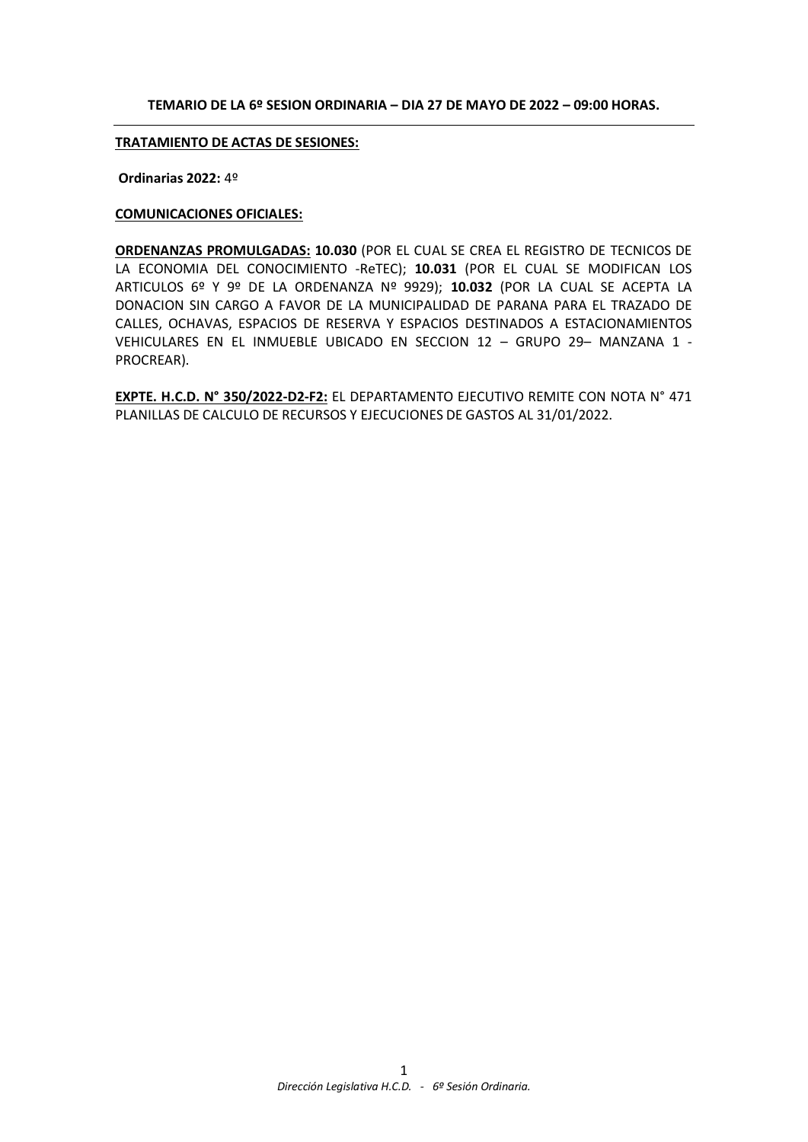#### **TEMARIO DE LA 6º SESION ORDINARIA – DIA 27 DE MAYO DE 2022 – 09:00 HORAS.**

#### **TRATAMIENTO DE ACTAS DE SESIONES:**

**Ordinarias 2022:** 4º

## **COMUNICACIONES OFICIALES:**

**ORDENANZAS PROMULGADAS: 10.030** (POR EL CUAL SE CREA EL REGISTRO DE TECNICOS DE LA ECONOMIA DEL CONOCIMIENTO -ReTEC); **10.031** (POR EL CUAL SE MODIFICAN LOS ARTICULOS 6º Y 9º DE LA ORDENANZA Nº 9929); **10.032** (POR LA CUAL SE ACEPTA LA DONACION SIN CARGO A FAVOR DE LA MUNICIPALIDAD DE PARANA PARA EL TRAZADO DE CALLES, OCHAVAS, ESPACIOS DE RESERVA Y ESPACIOS DESTINADOS A ESTACIONAMIENTOS VEHICULARES EN EL INMUEBLE UBICADO EN SECCION 12 – GRUPO 29– MANZANA 1 - PROCREAR).

**EXPTE. H.C.D. N° 350/2022-D2-F2:** EL DEPARTAMENTO EJECUTIVO REMITE CON NOTA N° 471 PLANILLAS DE CALCULO DE RECURSOS Y EJECUCIONES DE GASTOS AL 31/01/2022.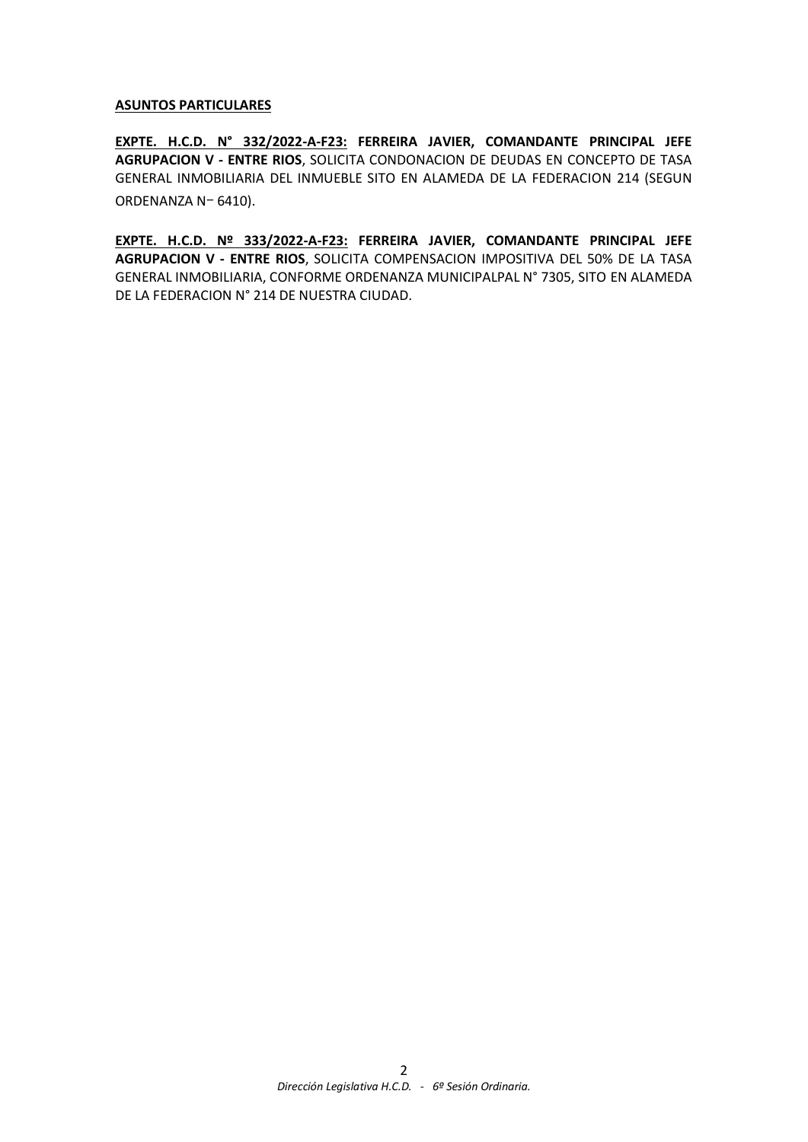#### **ASUNTOS PARTICULARES**

**EXPTE. H.C.D. N° 332/2022-A-F23: FERREIRA JAVIER, COMANDANTE PRINCIPAL JEFE AGRUPACION V - ENTRE RIOS**, SOLICITA CONDONACION DE DEUDAS EN CONCEPTO DE TASA GENERAL INMOBILIARIA DEL INMUEBLE SITO EN ALAMEDA DE LA FEDERACION 214 (SEGUN ORDENANZA Nー 6410).

**EXPTE. H.C.D. Nº 333/2022-A-F23: FERREIRA JAVIER, COMANDANTE PRINCIPAL JEFE AGRUPACION V - ENTRE RIOS**, SOLICITA COMPENSACION IMPOSITIVA DEL 50% DE LA TASA GENERAL INMOBILIARIA, CONFORME ORDENANZA MUNICIPALPAL N° 7305, SITO EN ALAMEDA DE LA FEDERACION N° 214 DE NUESTRA CIUDAD.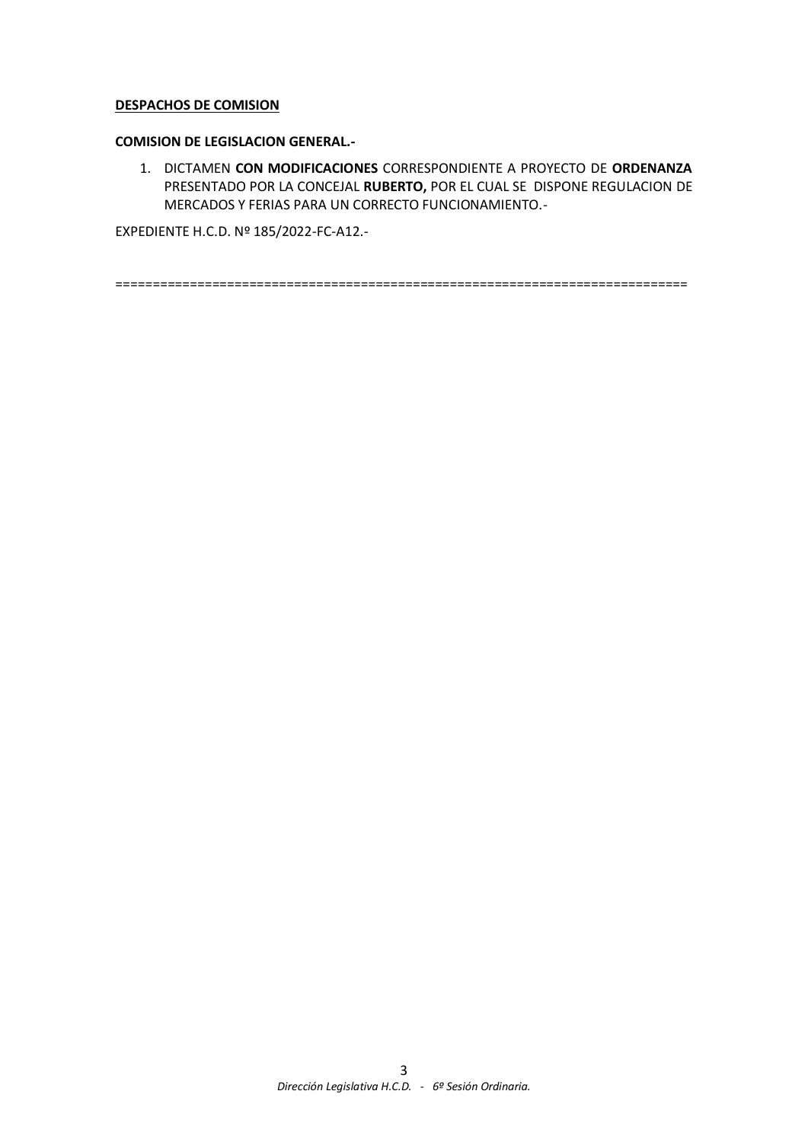#### **DESPACHOS DE COMISION**

#### **COMISION DE LEGISLACION GENERAL.-**

1. DICTAMEN **CON MODIFICACIONES** CORRESPONDIENTE A PROYECTO DE **ORDENANZA** PRESENTADO POR LA CONCEJAL **RUBERTO,** POR EL CUAL SE DISPONE REGULACION DE MERCADOS Y FERIAS PARA UN CORRECTO FUNCIONAMIENTO.-

EXPEDIENTE H.C.D. Nº 185/2022-FC-A12.-

=============================================================================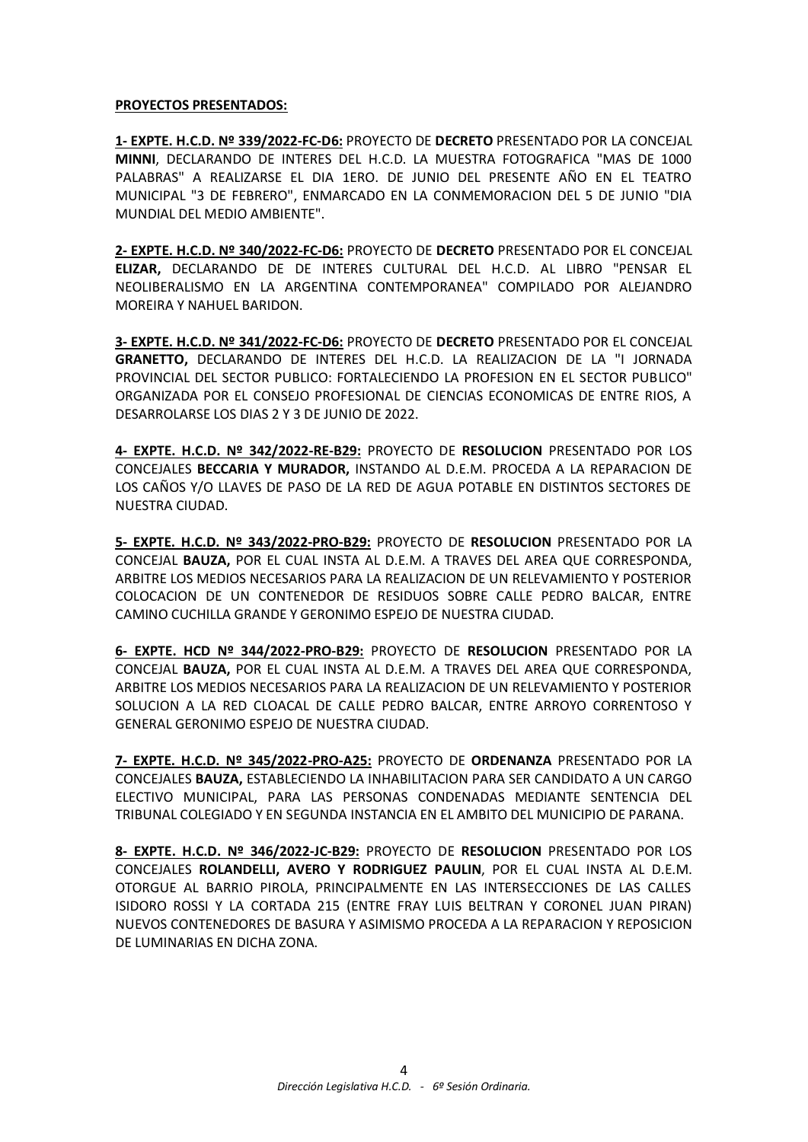#### **PROYECTOS PRESENTADOS:**

**1- EXPTE. H.C.D. Nº 339/2022-FC-D6:** PROYECTO DE **DECRETO** PRESENTADO POR LA CONCEJAL **MINNI**, DECLARANDO DE INTERES DEL H.C.D. LA MUESTRA FOTOGRAFICA "MAS DE 1000 PALABRAS" A REALIZARSE EL DIA 1ERO. DE JUNIO DEL PRESENTE AÑO EN EL TEATRO MUNICIPAL "3 DE FEBRERO", ENMARCADO EN LA CONMEMORACION DEL 5 DE JUNIO "DIA MUNDIAL DEL MEDIO AMBIENTE".

**2- EXPTE. H.C.D. Nº 340/2022-FC-D6:** PROYECTO DE **DECRETO** PRESENTADO POR EL CONCEJAL **ELIZAR,** DECLARANDO DE DE INTERES CULTURAL DEL H.C.D. AL LIBRO "PENSAR EL NEOLIBERALISMO EN LA ARGENTINA CONTEMPORANEA" COMPILADO POR ALEJANDRO MOREIRA Y NAHUEL BARIDON.

**3- EXPTE. H.C.D. Nº 341/2022-FC-D6:** PROYECTO DE **DECRETO** PRESENTADO POR EL CONCEJAL **GRANETTO,** DECLARANDO DE INTERES DEL H.C.D. LA REALIZACION DE LA "I JORNADA PROVINCIAL DEL SECTOR PUBLICO: FORTALECIENDO LA PROFESION EN EL SECTOR PUBLICO" ORGANIZADA POR EL CONSEJO PROFESIONAL DE CIENCIAS ECONOMICAS DE ENTRE RIOS, A DESARROLARSE LOS DIAS 2 Y 3 DE JUNIO DE 2022.

**4- EXPTE. H.C.D. Nº 342/2022-RE-B29:** PROYECTO DE **RESOLUCION** PRESENTADO POR LOS CONCEJALES **BECCARIA Y MURADOR,** INSTANDO AL D.E.M. PROCEDA A LA REPARACION DE LOS CAÑOS Y/O LLAVES DE PASO DE LA RED DE AGUA POTABLE EN DISTINTOS SECTORES DE NUESTRA CIUDAD.

**5- EXPTE. H.C.D. Nº 343/2022-PRO-B29:** PROYECTO DE **RESOLUCION** PRESENTADO POR LA CONCEJAL **BAUZA,** POR EL CUAL INSTA AL D.E.M. A TRAVES DEL AREA QUE CORRESPONDA, ARBITRE LOS MEDIOS NECESARIOS PARA LA REALIZACION DE UN RELEVAMIENTO Y POSTERIOR COLOCACION DE UN CONTENEDOR DE RESIDUOS SOBRE CALLE PEDRO BALCAR, ENTRE CAMINO CUCHILLA GRANDE Y GERONIMO ESPEJO DE NUESTRA CIUDAD.

**6- EXPTE. HCD Nº 344/2022-PRO-B29:** PROYECTO DE **RESOLUCION** PRESENTADO POR LA CONCEJAL **BAUZA,** POR EL CUAL INSTA AL D.E.M. A TRAVES DEL AREA QUE CORRESPONDA, ARBITRE LOS MEDIOS NECESARIOS PARA LA REALIZACION DE UN RELEVAMIENTO Y POSTERIOR SOLUCION A LA RED CLOACAL DE CALLE PEDRO BALCAR, ENTRE ARROYO CORRENTOSO Y GENERAL GERONIMO ESPEJO DE NUESTRA CIUDAD.

**7- EXPTE. H.C.D. Nº 345/2022-PRO-A25:** PROYECTO DE **ORDENANZA** PRESENTADO POR LA CONCEJALES **BAUZA,** ESTABLECIENDO LA INHABILITACION PARA SER CANDIDATO A UN CARGO ELECTIVO MUNICIPAL, PARA LAS PERSONAS CONDENADAS MEDIANTE SENTENCIA DEL TRIBUNAL COLEGIADO Y EN SEGUNDA INSTANCIA EN EL AMBITO DEL MUNICIPIO DE PARANA.

**8- EXPTE. H.C.D. Nº 346/2022-JC-B29:** PROYECTO DE **RESOLUCION** PRESENTADO POR LOS CONCEJALES **ROLANDELLI, AVERO Y RODRIGUEZ PAULIN**, POR EL CUAL INSTA AL D.E.M. OTORGUE AL BARRIO PIROLA, PRINCIPALMENTE EN LAS INTERSECCIONES DE LAS CALLES ISIDORO ROSSI Y LA CORTADA 215 (ENTRE FRAY LUIS BELTRAN Y CORONEL JUAN PIRAN) NUEVOS CONTENEDORES DE BASURA Y ASIMISMO PROCEDA A LA REPARACION Y REPOSICION DE LUMINARIAS EN DICHA ZONA.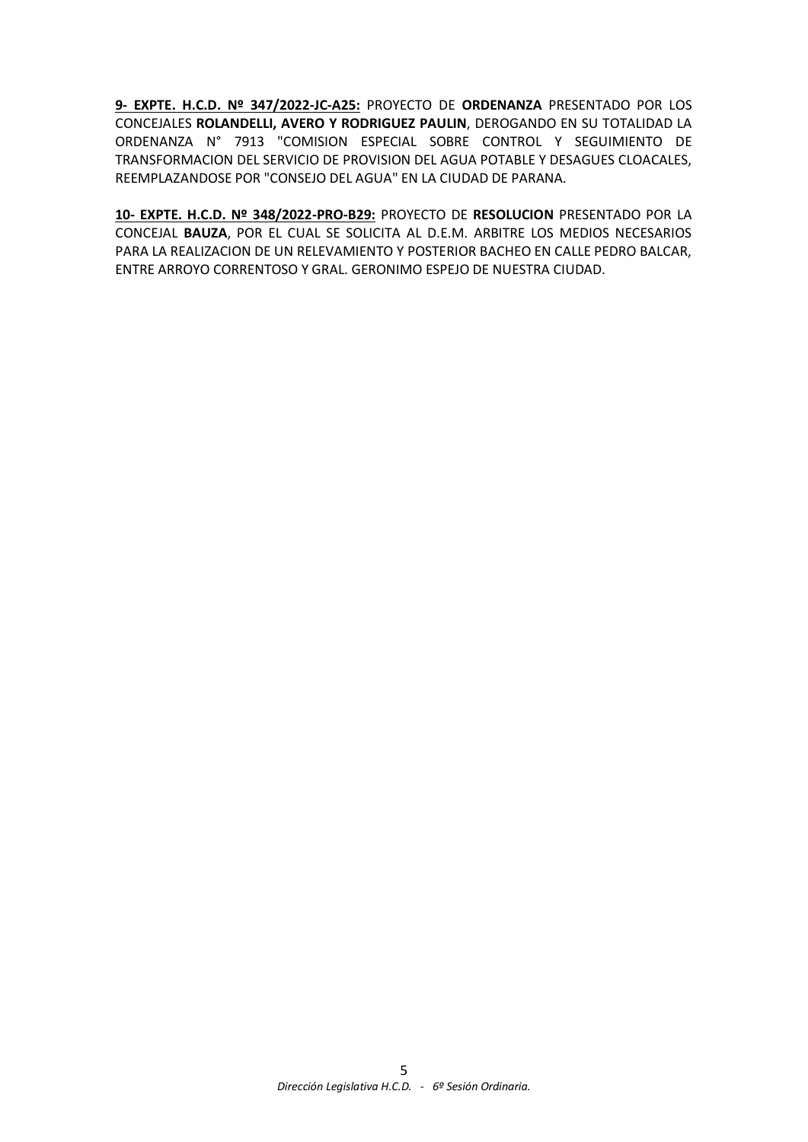**9- EXPTE. H.C.D. Nº 347/2022-JC-A25:** PROYECTO DE **ORDENANZA** PRESENTADO POR LOS CONCEJALES **ROLANDELLI, AVERO Y RODRIGUEZ PAULIN**, DEROGANDO EN SU TOTALIDAD LA ORDENANZA N° 7913 "COMISION ESPECIAL SOBRE CONTROL Y SEGUIMIENTO DE TRANSFORMACION DEL SERVICIO DE PROVISION DEL AGUA POTABLE Y DESAGUES CLOACALES, REEMPLAZANDOSE POR "CONSEJO DEL AGUA" EN LA CIUDAD DE PARANA.

**10- EXPTE. H.C.D. Nº 348/2022-PRO-B29:** PROYECTO DE **RESOLUCION** PRESENTADO POR LA CONCEJAL **BAUZA**, POR EL CUAL SE SOLICITA AL D.E.M. ARBITRE LOS MEDIOS NECESARIOS PARA LA REALIZACION DE UN RELEVAMIENTO Y POSTERIOR BACHEO EN CALLE PEDRO BALCAR, ENTRE ARROYO CORRENTOSO Y GRAL. GERONIMO ESPEJO DE NUESTRA CIUDAD.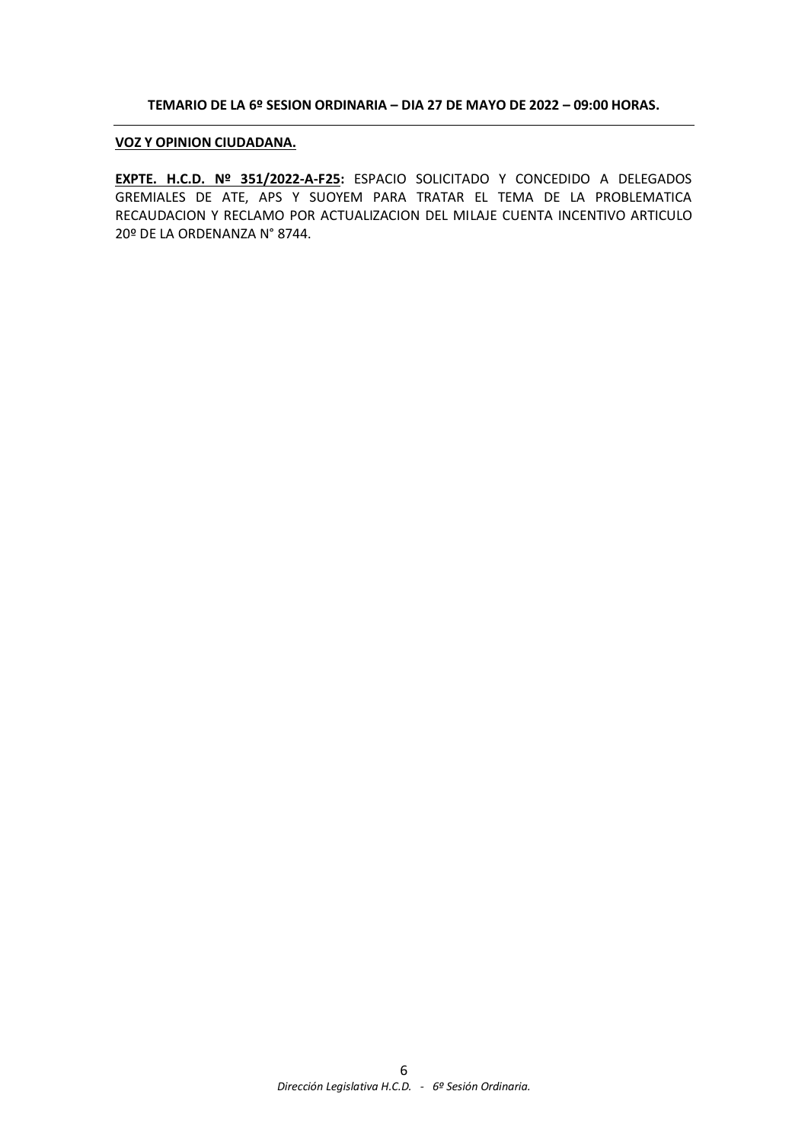#### **TEMARIO DE LA 6º SESION ORDINARIA – DIA 27 DE MAYO DE 2022 – 09:00 HORAS.**

#### **VOZ Y OPINION CIUDADANA.**

**EXPTE. H.C.D. Nº 351/2022-A-F25:** ESPACIO SOLICITADO Y CONCEDIDO A DELEGADOS GREMIALES DE ATE, APS Y SUOYEM PARA TRATAR EL TEMA DE LA PROBLEMATICA RECAUDACION Y RECLAMO POR ACTUALIZACION DEL MILAJE CUENTA INCENTIVO ARTICULO 20º DE LA ORDENANZA N° 8744.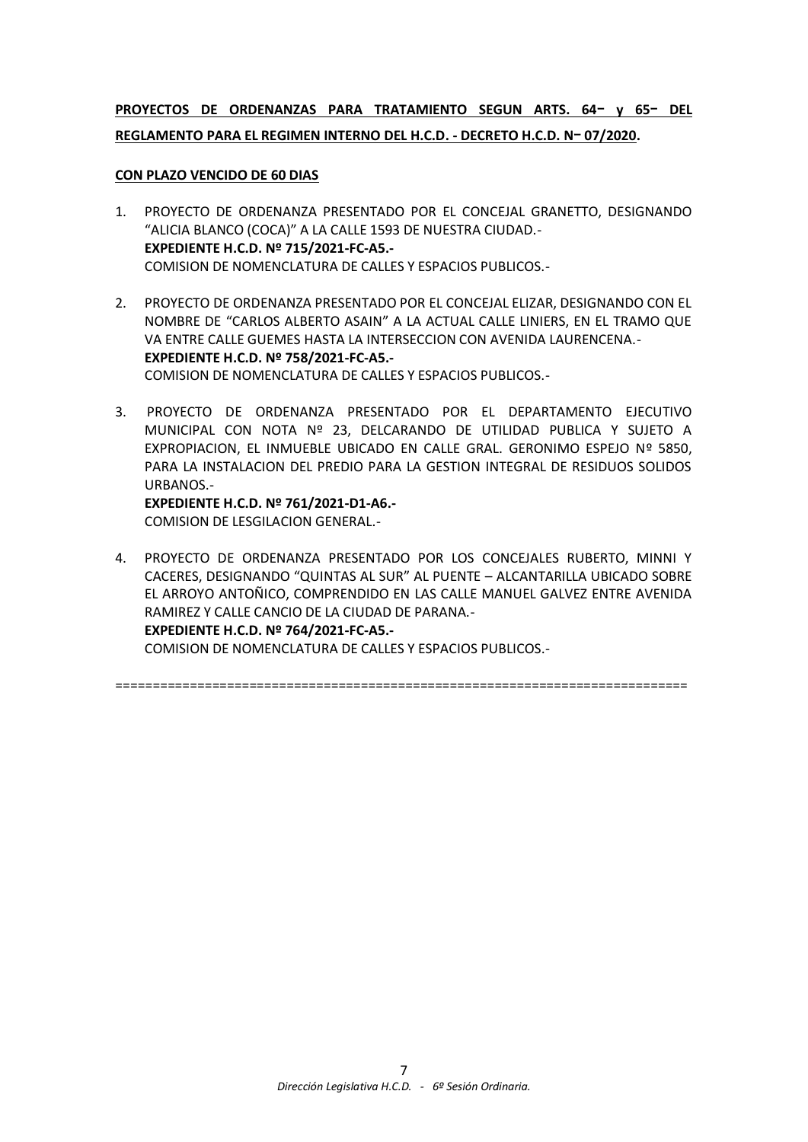# **PROYECTOS DE ORDENANZAS PARA TRATAMIENTO SEGUN ARTS. 64ー y 65ー DEL REGLAMENTO PARA EL REGIMEN INTERNO DEL H.C.D. - DECRETO H.C.D. Nー 07/2020.**

### **CON PLAZO VENCIDO DE 60 DIAS**

- 1. PROYECTO DE ORDENANZA PRESENTADO POR EL CONCEJAL GRANETTO, DESIGNANDO "ALICIA BLANCO (COCA)" A LA CALLE 1593 DE NUESTRA CIUDAD.- **EXPEDIENTE H.C.D. Nº 715/2021-FC-A5.-** COMISION DE NOMENCLATURA DE CALLES Y ESPACIOS PUBLICOS.-
- 2. PROYECTO DE ORDENANZA PRESENTADO POR EL CONCEJAL ELIZAR, DESIGNANDO CON EL NOMBRE DE "CARLOS ALBERTO ASAIN" A LA ACTUAL CALLE LINIERS, EN EL TRAMO QUE VA ENTRE CALLE GUEMES HASTA LA INTERSECCION CON AVENIDA LAURENCENA.- **EXPEDIENTE H.C.D. Nº 758/2021-FC-A5.-** COMISION DE NOMENCLATURA DE CALLES Y ESPACIOS PUBLICOS.-
- 3. PROYECTO DE ORDENANZA PRESENTADO POR EL DEPARTAMENTO EJECUTIVO MUNICIPAL CON NOTA Nº 23, DELCARANDO DE UTILIDAD PUBLICA Y SUJETO A EXPROPIACION, EL INMUEBLE UBICADO EN CALLE GRAL. GERONIMO ESPEJO Nº 5850, PARA LA INSTALACION DEL PREDIO PARA LA GESTION INTEGRAL DE RESIDUOS SOLIDOS URBANOS.-

**EXPEDIENTE H.C.D. Nº 761/2021-D1-A6.-** COMISION DE LESGILACION GENERAL.-

4. PROYECTO DE ORDENANZA PRESENTADO POR LOS CONCEJALES RUBERTO, MINNI Y CACERES, DESIGNANDO "QUINTAS AL SUR" AL PUENTE – ALCANTARILLA UBICADO SOBRE EL ARROYO ANTOÑICO, COMPRENDIDO EN LAS CALLE MANUEL GALVEZ ENTRE AVENIDA RAMIREZ Y CALLE CANCIO DE LA CIUDAD DE PARANA.- **EXPEDIENTE H.C.D. Nº 764/2021-FC-A5.-** COMISION DE NOMENCLATURA DE CALLES Y ESPACIOS PUBLICOS.-

=============================================================================